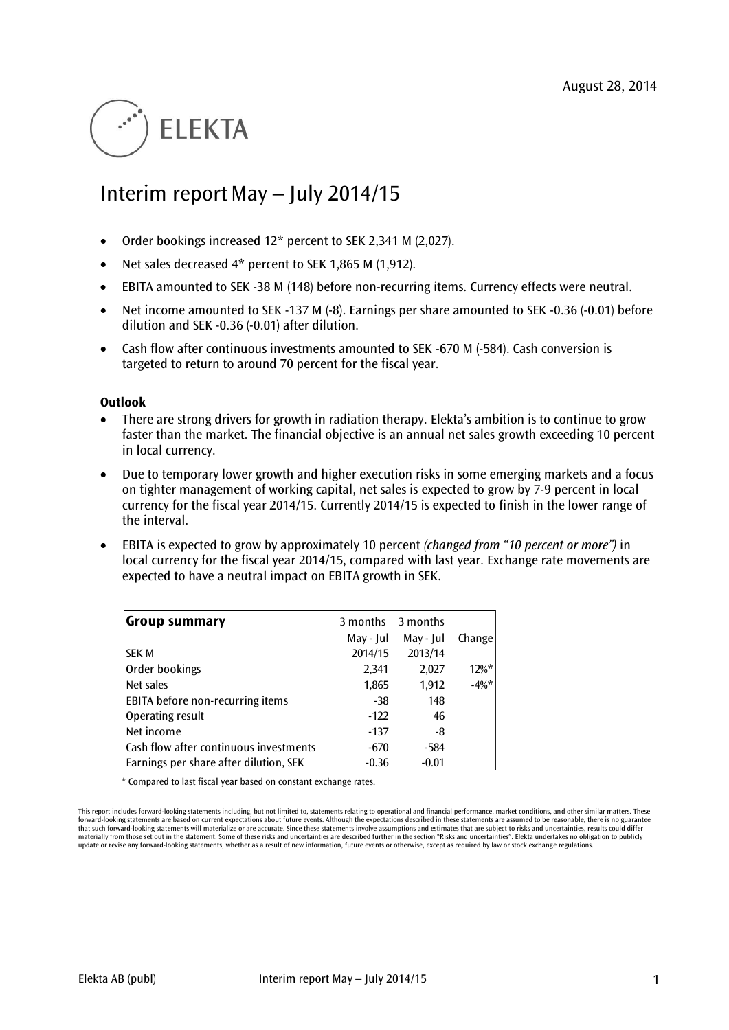# **ELEKTA**

## Interim report May – July 2014/15

- Order bookings increased 12\* percent to SEK 2,341 M (2,027).
- Net sales decreased 4\* percent to SEK 1,865 M (1,912).
- EBITA amounted to SEK -38 M (148) before non-recurring items. Currency effects were neutral.
- Net income amounted to SEK -137 M (-8). Earnings per share amounted to SEK -0.36 (-0.01) before dilution and SEK -0.36 (-0.01) after dilution.
- Cash flow after continuous investments amounted to SEK -670 M (-584). Cash conversion is targeted to return to around 70 percent for the fiscal year.

#### **Outlook**

- There are strong drivers for growth in radiation therapy. Elekta's ambition is to continue to grow faster than the market. The financial objective is an annual net sales growth exceeding 10 percent in local currency.
- Due to temporary lower growth and higher execution risks in some emerging markets and a focus on tighter management of working capital, net sales is expected to grow by 7-9 percent in local currency for the fiscal year 2014/15. Currently 2014/15 is expected to finish in the lower range of the interval.
- EBITA is expected to grow by approximately 10 percent *(changed from "10 percent or more")* in local currency for the fiscal year 2014/15, compared with last year. Exchange rate movements are expected to have a neutral impact on EBITA growth in SEK.

| Group summary                           | 3 months  | 3 months  |          |
|-----------------------------------------|-----------|-----------|----------|
|                                         | May - Jul | May - Jul | Change   |
| <b>SEK M</b>                            | 2014/15   | 2013/14   |          |
| Order bookings                          | 2,341     | 2,027     | $12\%$ * |
| Net sales                               | 1,865     | 1,912     | $-4\%$ * |
| <b>EBITA</b> before non-recurring items | $-38$     | 148       |          |
| Operating result                        | $-122$    | 46        |          |
| Net income                              | $-137$    | -8        |          |
| Cash flow after continuous investments  | $-670$    | $-584$    |          |
| Earnings per share after dilution, SEK  | $-0.36$   | $-0.01$   |          |

\* Compared to last fiscal year based on constant exchange rates.

This report includes forward-looking statements including, but not limited to, statements relating to operational and financial performance, market conditions, and other similar matters. These<br>forward-looking statements ar that such forward-looking statements will materialize or are accurate. Since these statements involve assumptions and estimates that are subject to risks and uncertainties, results could differ materially from those set out in the statement. Some of these risks and uncertainties are described further in the section "Risks and uncertainties". Elekta undertakes no obligation to publicly<br>update or revise any forward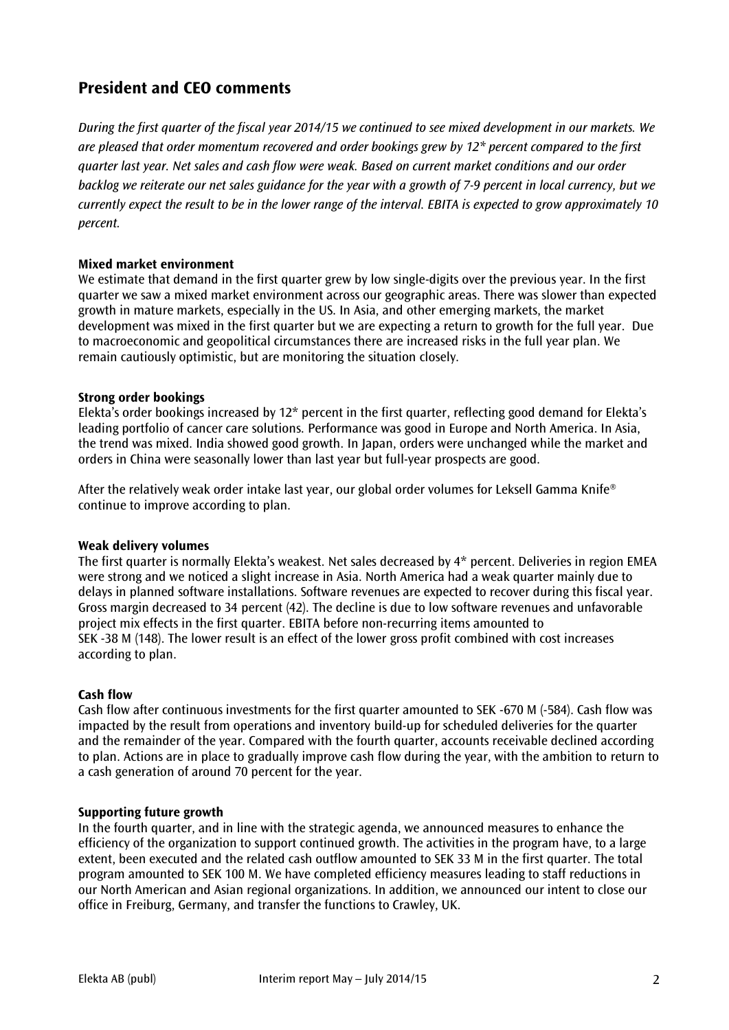### **President and CEO comments**

*During the first quarter of the fiscal year 2014/15 we continued to see mixed development in our markets. We are pleased that order momentum recovered and order bookings grew by 12\* percent compared to the first quarter last year. Net sales and cash flow were weak. Based on current market conditions and our order backlog we reiterate our net sales guidance for the year with a growth of 7-9 percent in local currency, but we currently expect the result to be in the lower range of the interval. EBITA is expected to grow approximately 10 percent.* 

#### **Mixed market environment**

We estimate that demand in the first quarter grew by low single-digits over the previous year. In the first quarter we saw a mixed market environment across our geographic areas. There was slower than expected growth in mature markets, especially in the US. In Asia, and other emerging markets, the market development was mixed in the first quarter but we are expecting a return to growth for the full year. Due to macroeconomic and geopolitical circumstances there are increased risks in the full year plan. We remain cautiously optimistic, but are monitoring the situation closely.

#### **Strong order bookings**

Elekta's order bookings increased by 12\* percent in the first quarter, reflecting good demand for Elekta's leading portfolio of cancer care solutions. Performance was good in Europe and North America. In Asia, the trend was mixed. India showed good growth. In Japan, orders were unchanged while the market and orders in China were seasonally lower than last year but full-year prospects are good.

After the relatively weak order intake last year, our global order volumes for Leksell Gamma Knife® continue to improve according to plan.

#### **Weak delivery volumes**

The first quarter is normally Elekta's weakest. Net sales decreased by 4\* percent. Deliveries in region EMEA were strong and we noticed a slight increase in Asia. North America had a weak quarter mainly due to delays in planned software installations. Software revenues are expected to recover during this fiscal year. Gross margin decreased to 34 percent (42). The decline is due to low software revenues and unfavorable project mix effects in the first quarter. EBITA before non-recurring items amounted to SEK -38 M (148). The lower result is an effect of the lower gross profit combined with cost increases according to plan.

#### **Cash flow**

Cash flow after continuous investments for the first quarter amounted to SEK -670 M (-584). Cash flow was impacted by the result from operations and inventory build-up for scheduled deliveries for the quarter and the remainder of the year. Compared with the fourth quarter, accounts receivable declined according to plan. Actions are in place to gradually improve cash flow during the year, with the ambition to return to a cash generation of around 70 percent for the year.

#### **Supporting future growth**

In the fourth quarter, and in line with the strategic agenda, we announced measures to enhance the efficiency of the organization to support continued growth. The activities in the program have, to a large extent, been executed and the related cash outflow amounted to SEK 33 M in the first quarter. The total program amounted to SEK 100 M. We have completed efficiency measures leading to staff reductions in our North American and Asian regional organizations. In addition, we announced our intent to close our office in Freiburg, Germany, and transfer the functions to Crawley, UK.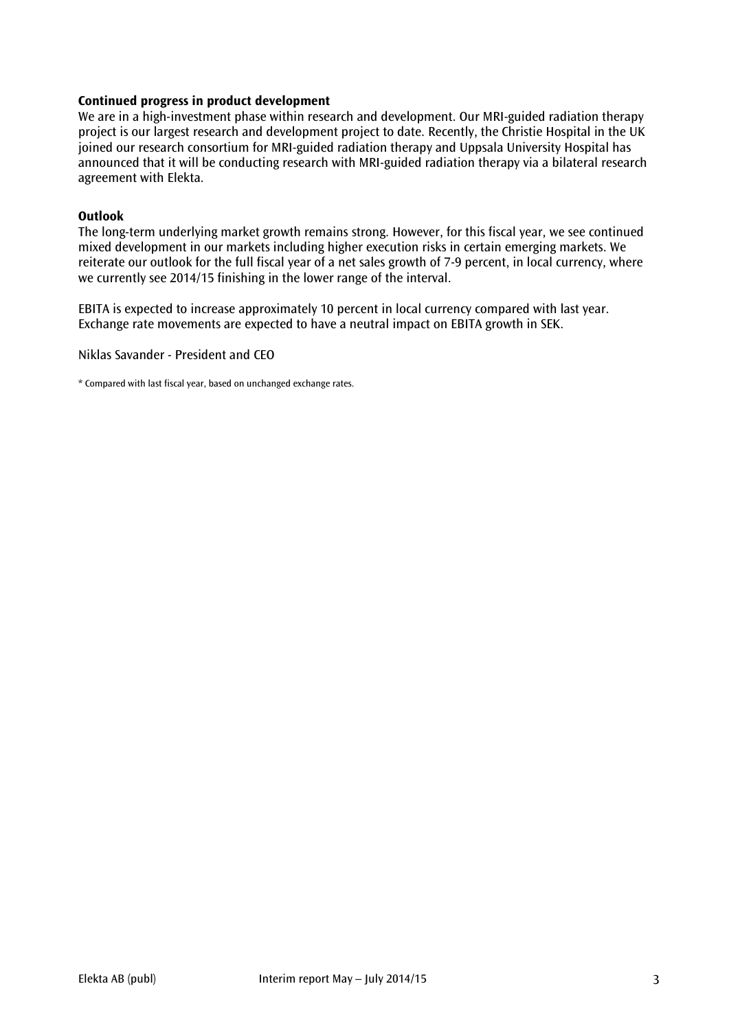#### **Continued progress in product development**

We are in a high-investment phase within research and development. Our MRI-guided radiation therapy project is our largest research and development project to date. Recently, the Christie Hospital in the UK joined our research consortium for MRI-guided radiation therapy and Uppsala University Hospital has announced that it will be conducting research with MRI-guided radiation therapy via a bilateral research agreement with Elekta.

#### **Outlook**

The long-term underlying market growth remains strong. However, for this fiscal year, we see continued mixed development in our markets including higher execution risks in certain emerging markets. We reiterate our outlook for the full fiscal year of a net sales growth of 7-9 percent, in local currency, where we currently see 2014/15 finishing in the lower range of the interval.

EBITA is expected to increase approximately 10 percent in local currency compared with last year. Exchange rate movements are expected to have a neutral impact on EBITA growth in SEK.

Niklas Savander - President and CEO

\* Compared with last fiscal year, based on unchanged exchange rates.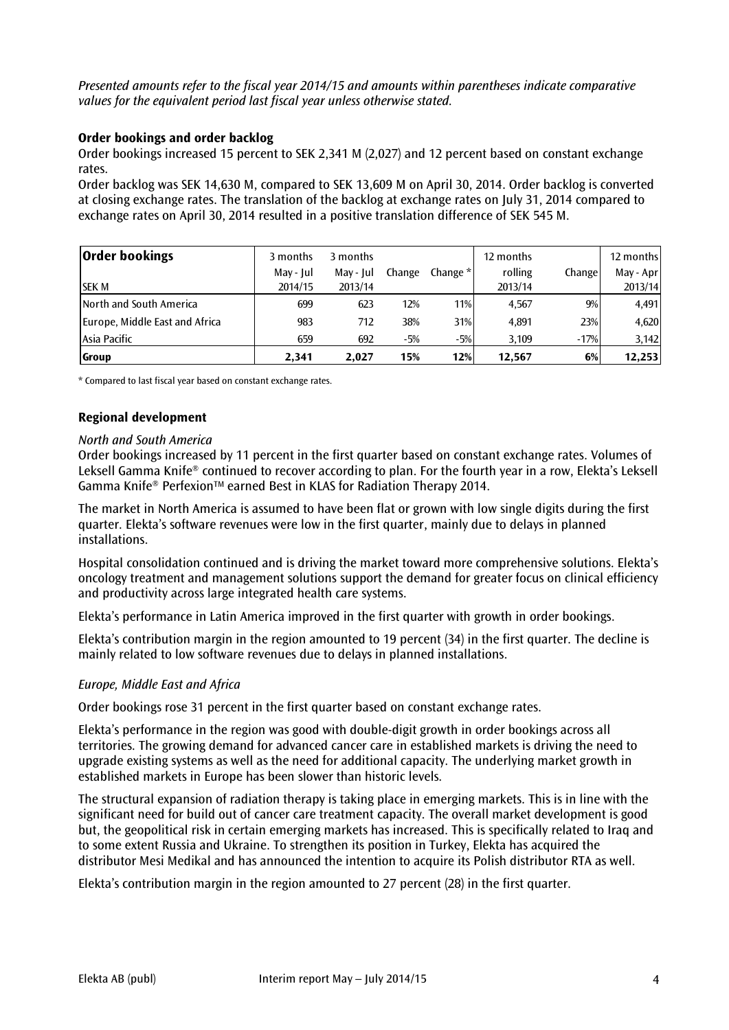*Presented amounts refer to the fiscal year 2014/15 and amounts within parentheses indicate comparative values for the equivalent period last fiscal year unless otherwise stated.*

#### **Order bookings and order backlog**

Order bookings increased 15 percent to SEK 2,341 M (2,027) and 12 percent based on constant exchange rates.

Order backlog was SEK 14,630 M, compared to SEK 13,609 M on April 30, 2014. Order backlog is converted at closing exchange rates. The translation of the backlog at exchange rates on July 31, 2014 compared to exchange rates on April 30, 2014 resulted in a positive translation difference of SEK 545 M.

| <b>Order bookings</b>          | 3 months  | 3 months  |        |            | 12 months |        | 12 months |
|--------------------------------|-----------|-----------|--------|------------|-----------|--------|-----------|
|                                | May - Jul | May - Jul | Change | Change $*$ | rolling   | Change | May - Apr |
| <b>SEK M</b>                   | 2014/15   | 2013/14   |        |            | 2013/14   |        | 2013/14   |
| <b>North and South America</b> | 699       | 623       | 12%    | 11%        | 4,567     | 9%     | 4,491     |
| Europe, Middle East and Africa | 983       | 712       | 38%    | 31%        | 4,891     | 23%    | 4,620     |
| Asia Pacific                   | 659       | 692       | $-5%$  | $-5%$      | 3.109     | $-17%$ | 3,142     |
| Group                          | 2.341     | 2,027     | 15%    | 12%        | 12.567    | 6%     | 12,253    |

\* Compared to last fiscal year based on constant exchange rates.

#### **Regional development**

#### *North and South America*

Order bookings increased by 11 percent in the first quarter based on constant exchange rates. Volumes of Leksell Gamma Knife® continued to recover according to plan. For the fourth year in a row, Elekta's Leksell Gamma Knife® PerfexionTM earned Best in KLAS for Radiation Therapy 2014.

The market in North America is assumed to have been flat or grown with low single digits during the first quarter. Elekta's software revenues were low in the first quarter, mainly due to delays in planned installations.

Hospital consolidation continued and is driving the market toward more comprehensive solutions. Elekta's oncology treatment and management solutions support the demand for greater focus on clinical efficiency and productivity across large integrated health care systems.

Elekta's performance in Latin America improved in the first quarter with growth in order bookings.

Elekta's contribution margin in the region amounted to 19 percent (34) in the first quarter. The decline is mainly related to low software revenues due to delays in planned installations.

#### *Europe, Middle East and Africa*

Order bookings rose 31 percent in the first quarter based on constant exchange rates.

Elekta's performance in the region was good with double-digit growth in order bookings across all territories. The growing demand for advanced cancer care in established markets is driving the need to upgrade existing systems as well as the need for additional capacity. The underlying market growth in established markets in Europe has been slower than historic levels.

The structural expansion of radiation therapy is taking place in emerging markets. This is in line with the significant need for build out of cancer care treatment capacity. The overall market development is good but, the geopolitical risk in certain emerging markets has increased. This is specifically related to Iraq and to some extent Russia and Ukraine. To strengthen its position in Turkey, Elekta has acquired the distributor Mesi Medikal and has announced the intention to acquire its Polish distributor RTA as well.

Elekta's contribution margin in the region amounted to 27 percent (28) in the first quarter.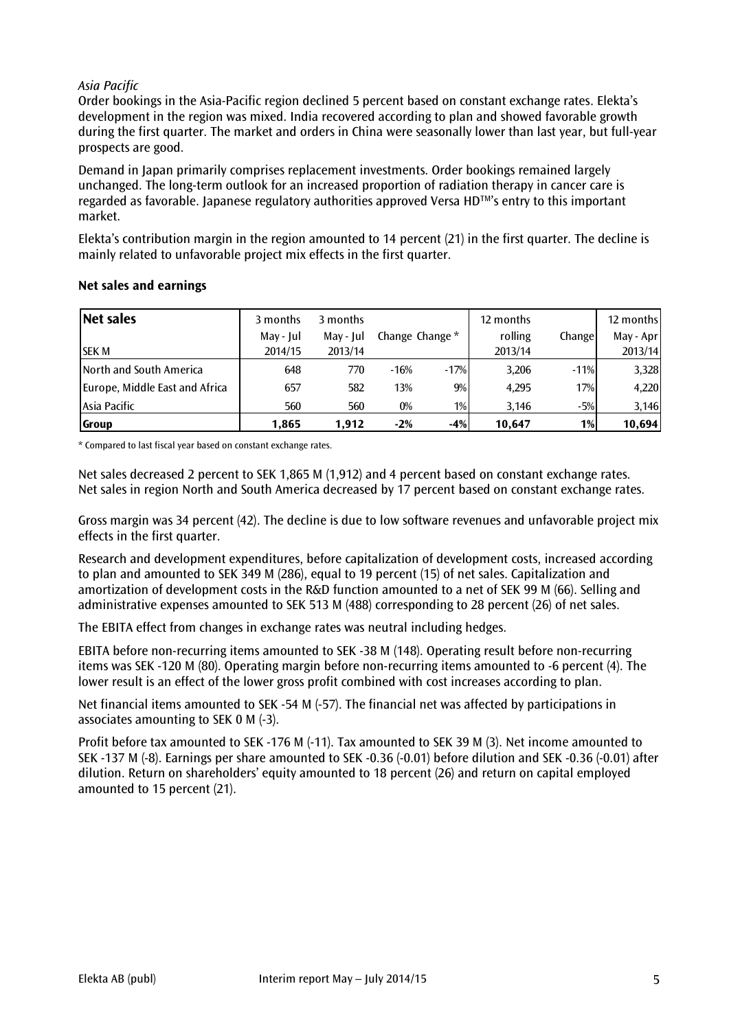#### *Asia Pacific*

Order bookings in the Asia-Pacific region declined 5 percent based on constant exchange rates. Elekta's development in the region was mixed. India recovered according to plan and showed favorable growth during the first quarter. The market and orders in China were seasonally lower than last year, but full-year prospects are good.

Demand in Japan primarily comprises replacement investments. Order bookings remained largely unchanged. The long-term outlook for an increased proportion of radiation therapy in cancer care is regarded as favorable. Japanese regulatory authorities approved Versa HDTM's entry to this important market.

Elekta's contribution margin in the region amounted to 14 percent (21) in the first quarter. The decline is mainly related to unfavorable project mix effects in the first quarter.

| Net sales                      | 3 months  | 3 months  |                 |        | 12 months |        | 12 months |
|--------------------------------|-----------|-----------|-----------------|--------|-----------|--------|-----------|
|                                | May - Jul | May - Jul | Change Change * |        | rolling   | Change | May - Apr |
| <b>SEK M</b>                   | 2014/15   | 2013/14   |                 |        | 2013/14   |        | 2013/14   |
| <b>North and South America</b> | 648       | 770       | $-16%$          | $-17%$ | 3,206     | $-11%$ | 3,328     |
| Europe, Middle East and Africa | 657       | 582       | 13%             | 9%     | 4,295     | 17%    | 4,220     |
| Asia Pacific                   | 560       | 560       | $0\%$           | $1\%$  | 3.146     | $-5%$  | 3,146     |
| <b>Group</b>                   | 1,865     | 1,912     | $-2%$           | $-4%$  | 10,647    | $1\%$  | 10,694    |

#### **Net sales and earnings**

\* Compared to last fiscal year based on constant exchange rates.

Net sales decreased 2 percent to SEK 1,865 M (1,912) and 4 percent based on constant exchange rates. Net sales in region North and South America decreased by 17 percent based on constant exchange rates.

Gross margin was 34 percent (42). The decline is due to low software revenues and unfavorable project mix effects in the first quarter.

Research and development expenditures, before capitalization of development costs, increased according to plan and amounted to SEK 349 M (286), equal to 19 percent (15) of net sales. Capitalization and amortization of development costs in the R&D function amounted to a net of SEK 99 M (66). Selling and administrative expenses amounted to SEK 513 M (488) corresponding to 28 percent (26) of net sales.

The EBITA effect from changes in exchange rates was neutral including hedges.

EBITA before non-recurring items amounted to SEK -38 M (148). Operating result before non-recurring items was SEK -120 M (80). Operating margin before non-recurring items amounted to -6 percent (4). The lower result is an effect of the lower gross profit combined with cost increases according to plan.

Net financial items amounted to SEK -54 M (-57). The financial net was affected by participations in associates amounting to SEK 0 M (-3).

Profit before tax amounted to SEK -176 M (-11). Tax amounted to SEK 39 M (3). Net income amounted to SEK -137 M (-8). Earnings per share amounted to SEK -0.36 (-0.01) before dilution and SEK -0.36 (-0.01) after dilution. Return on shareholders' equity amounted to 18 percent (26) and return on capital employed amounted to 15 percent (21).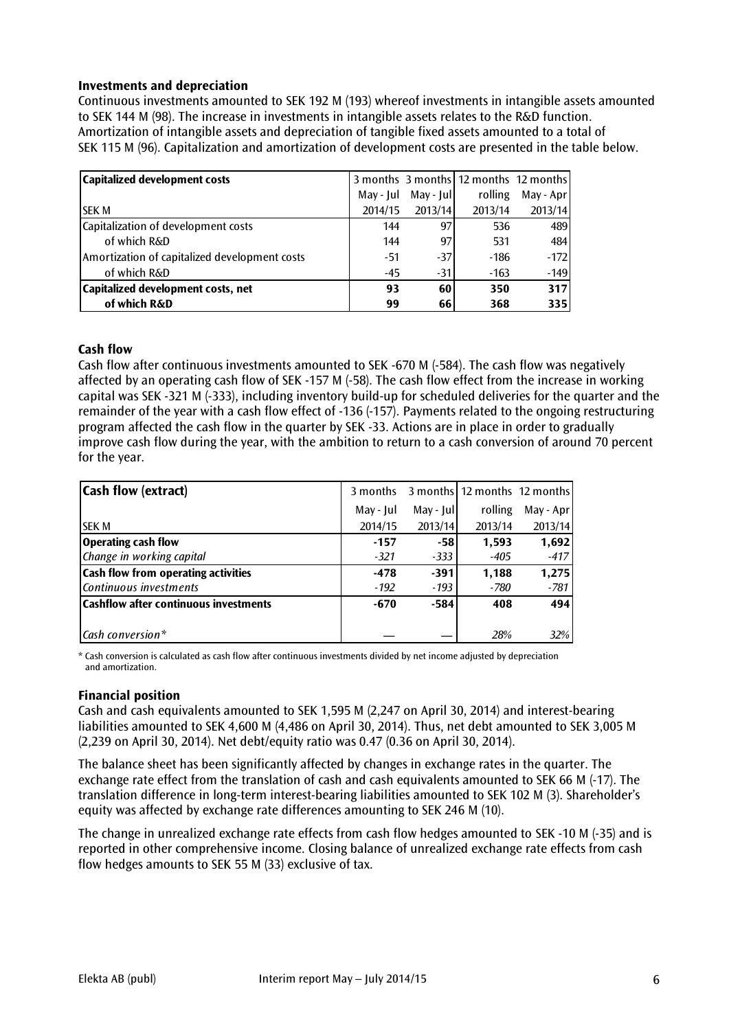#### **Investments and depreciation**

Continuous investments amounted to SEK 192 M (193) whereof investments in intangible assets amounted to SEK 144 M (98). The increase in investments in intangible assets relates to the R&D function. Amortization of intangible assets and depreciation of tangible fixed assets amounted to a total of SEK 115 M (96). Capitalization and amortization of development costs are presented in the table below.

| Capitalized development costs                 |           |             | 3 months 3 months 12 months 12 months |           |
|-----------------------------------------------|-----------|-------------|---------------------------------------|-----------|
|                                               | May - Jul | $May - Jul$ | rolling                               | May - Apr |
| <b>SEK M</b>                                  | 2014/15   | 2013/14     | 2013/14                               | 2013/14   |
| Capitalization of development costs           | 144       | 97          | 536                                   | 489       |
| of which R&D                                  | 144       | 97          | 531                                   | 484       |
| Amortization of capitalized development costs | $-51$     | $-37$       | $-186$                                | $-172$    |
| of which R&D                                  | $-45$     | $-31$       | $-163$                                | $-149$    |
| Capitalized development costs, net            | 93        | <b>60</b>   | 350                                   | 317       |
| of which R&D                                  | 99        | 66I         | 368                                   | 335       |

#### **Cash flow**

Cash flow after continuous investments amounted to SEK -670 M (-584). The cash flow was negatively affected by an operating cash flow of SEK -157 M (-58). The cash flow effect from the increase in working capital was SEK -321 M (-333), including inventory build-up for scheduled deliveries for the quarter and the remainder of the year with a cash flow effect of -136 (-157). Payments related to the ongoing restructuring program affected the cash flow in the quarter by SEK -33. Actions are in place in order to gradually improve cash flow during the year, with the ambition to return to a cash conversion of around 70 percent for the year.

| <b>Cash flow (extract)</b>                   | 3 months  |            | 3 months 12 months 12 months |             |
|----------------------------------------------|-----------|------------|------------------------------|-------------|
|                                              | May - Jul | May - Jull | rolling                      | $May - Apr$ |
| <b>SEK M</b>                                 | 2014/15   | 2013/14    | 2013/14                      | 2013/14     |
| Operating cash flow                          | $-157$    | -581       | 1,593                        | 1,692       |
| Change in working capital                    | $-321$    | -333       | $-405$                       | $-417$      |
| <b>Cash flow from operating activities</b>   | $-478$    | $-391$     | 1.188                        | 1,275       |
| Continuous investments                       | $-192$    | $-193$     | -780                         | $-781$      |
| <b>Cashflow after continuous investments</b> | $-670$    | $-584$     | 408                          | 494         |
|                                              |           |            |                              |             |
| $\mathsf{Cash}\,\mathsf{conversion}\,^*$     |           |            | 28%                          | 32%         |

\* Cash conversion is calculated as cash flow after continuous investments divided by net income adjusted by depreciation and amortization.

#### **Financial position**

Cash and cash equivalents amounted to SEK 1,595 M (2,247 on April 30, 2014) and interest-bearing liabilities amounted to SEK 4,600 M (4,486 on April 30, 2014). Thus, net debt amounted to SEK 3,005 M (2,239 on April 30, 2014). Net debt/equity ratio was 0.47 (0.36 on April 30, 2014).

The balance sheet has been significantly affected by changes in exchange rates in the quarter. The exchange rate effect from the translation of cash and cash equivalents amounted to SEK 66 M (-17). The translation difference in long-term interest-bearing liabilities amounted to SEK 102 M (3). Shareholder's equity was affected by exchange rate differences amounting to SEK 246 M (10).

The change in unrealized exchange rate effects from cash flow hedges amounted to SEK -10 M (-35) and is reported in other comprehensive income. Closing balance of unrealized exchange rate effects from cash flow hedges amounts to SEK 55 M (33) exclusive of tax.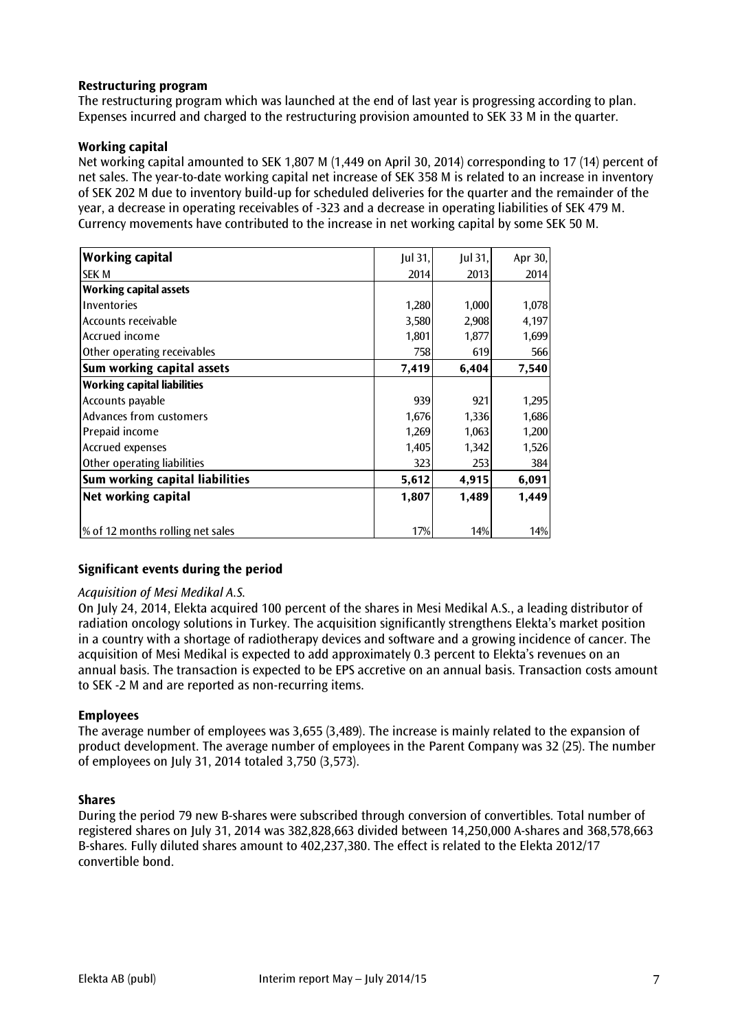#### **Restructuring program**

The restructuring program which was launched at the end of last year is progressing according to plan. Expenses incurred and charged to the restructuring provision amounted to SEK 33 M in the quarter.

#### **Working capital**

Net working capital amounted to SEK 1,807 M (1,449 on April 30, 2014) corresponding to 17 (14) percent of net sales. The year-to-date working capital net increase of SEK 358 M is related to an increase in inventory of SEK 202 M due to inventory build-up for scheduled deliveries for the quarter and the remainder of the year, a decrease in operating receivables of -323 and a decrease in operating liabilities of SEK 479 M. Currency movements have contributed to the increase in net working capital by some SEK 50 M.

| <b>Working capital</b>             | Jul 31, | Jul 31, | Apr 30, |
|------------------------------------|---------|---------|---------|
| <b>SEK M</b>                       | 2014    | 2013    | 2014    |
| <b>Working capital assets</b>      |         |         |         |
| Inventories                        | 1,280   | 1,000   | 1,078   |
| Accounts receivable                | 3,580   | 2,908   | 4,197   |
| Accrued income                     | 1,801   | 1,877   | 1,699   |
| Other operating receivables        | 758     | 619     | 566     |
| Sum working capital assets         | 7,419   | 6,404   | 7,540   |
| <b>Working capital liabilities</b> |         |         |         |
| Accounts payable                   | 939     | 921     | 1,295   |
| Advances from customers            | 1,676   | 1,336   | 1,686   |
| Prepaid income                     | 1,269   | 1,063   | 1,200   |
| <b>Accrued expenses</b>            | 1,405   | 1,342   | 1,526   |
| Other operating liabilities        | 323     | 253     | 384     |
| Sum working capital liabilities    | 5,612   | 4,915   | 6,091   |
| Net working capital                | 1,807   | 1,489   | 1,449   |
|                                    |         |         |         |
| % of 12 months rolling net sales   | 17%     | 14%     | 14%     |

#### **Significant events during the period**

#### *Acquisition of Mesi Medikal A.S.*

On July 24, 2014, Elekta acquired 100 percent of the shares in Mesi Medikal A.S., a leading distributor of radiation oncology solutions in Turkey. The acquisition significantly strengthens Elekta's market position in a country with a shortage of radiotherapy devices and software and a growing incidence of cancer. The acquisition of Mesi Medikal is expected to add approximately 0.3 percent to Elekta's revenues on an annual basis. The transaction is expected to be EPS accretive on an annual basis. Transaction costs amount to SEK -2 M and are reported as non-recurring items.

#### **Employees**

The average number of employees was 3,655 (3,489). The increase is mainly related to the expansion of product development. The average number of employees in the Parent Company was 32 (25). The number of employees on July 31, 2014 totaled 3,750 (3,573).

#### **Shares**

During the period 79 new B-shares were subscribed through conversion of convertibles. Total number of registered shares on July 31, 2014 was 382,828,663 divided between 14,250,000 A-shares and 368,578,663 B-shares. Fully diluted shares amount to 402,237,380. The effect is related to the Elekta 2012/17 convertible bond.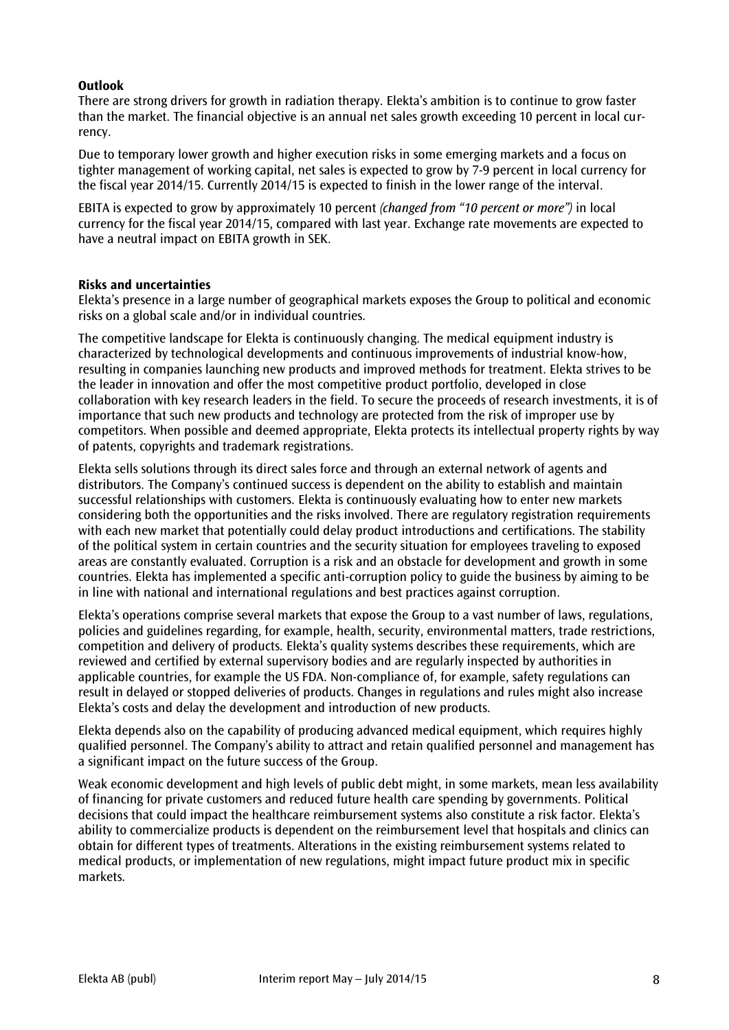#### **Outlook**

There are strong drivers for growth in radiation therapy. Elekta's ambition is to continue to grow faster than the market. The financial objective is an annual net sales growth exceeding 10 percent in local currency.

Due to temporary lower growth and higher execution risks in some emerging markets and a focus on tighter management of working capital, net sales is expected to grow by 7-9 percent in local currency for the fiscal year 2014/15. Currently 2014/15 is expected to finish in the lower range of the interval.

EBITA is expected to grow by approximately 10 percent *(changed from "10 percent or more")* in local currency for the fiscal year 2014/15, compared with last year. Exchange rate movements are expected to have a neutral impact on EBITA growth in SEK.

#### **Risks and uncertainties**

Elekta's presence in a large number of geographical markets exposes the Group to political and economic risks on a global scale and/or in individual countries.

The competitive landscape for Elekta is continuously changing. The medical equipment industry is characterized by technological developments and continuous improvements of industrial know-how, resulting in companies launching new products and improved methods for treatment. Elekta strives to be the leader in innovation and offer the most competitive product portfolio, developed in close collaboration with key research leaders in the field. To secure the proceeds of research investments, it is of importance that such new products and technology are protected from the risk of improper use by competitors. When possible and deemed appropriate, Elekta protects its intellectual property rights by way of patents, copyrights and trademark registrations.

Elekta sells solutions through its direct sales force and through an external network of agents and distributors. The Company's continued success is dependent on the ability to establish and maintain successful relationships with customers. Elekta is continuously evaluating how to enter new markets considering both the opportunities and the risks involved. There are regulatory registration requirements with each new market that potentially could delay product introductions and certifications. The stability of the political system in certain countries and the security situation for employees traveling to exposed areas are constantly evaluated. Corruption is a risk and an obstacle for development and growth in some countries. Elekta has implemented a specific anti-corruption policy to guide the business by aiming to be in line with national and international regulations and best practices against corruption.

Elekta's operations comprise several markets that expose the Group to a vast number of laws, regulations, policies and guidelines regarding, for example, health, security, environmental matters, trade restrictions, competition and delivery of products. Elekta's quality systems describes these requirements, which are reviewed and certified by external supervisory bodies and are regularly inspected by authorities in applicable countries, for example the US FDA. Non-compliance of, for example, safety regulations can result in delayed or stopped deliveries of products. Changes in regulations and rules might also increase Elekta's costs and delay the development and introduction of new products.

Elekta depends also on the capability of producing advanced medical equipment, which requires highly qualified personnel. The Company's ability to attract and retain qualified personnel and management has a significant impact on the future success of the Group.

Weak economic development and high levels of public debt might, in some markets, mean less availability of financing for private customers and reduced future health care spending by governments. Political decisions that could impact the healthcare reimbursement systems also constitute a risk factor. Elekta's ability to commercialize products is dependent on the reimbursement level that hospitals and clinics can obtain for different types of treatments. Alterations in the existing reimbursement systems related to medical products, or implementation of new regulations, might impact future product mix in specific markets.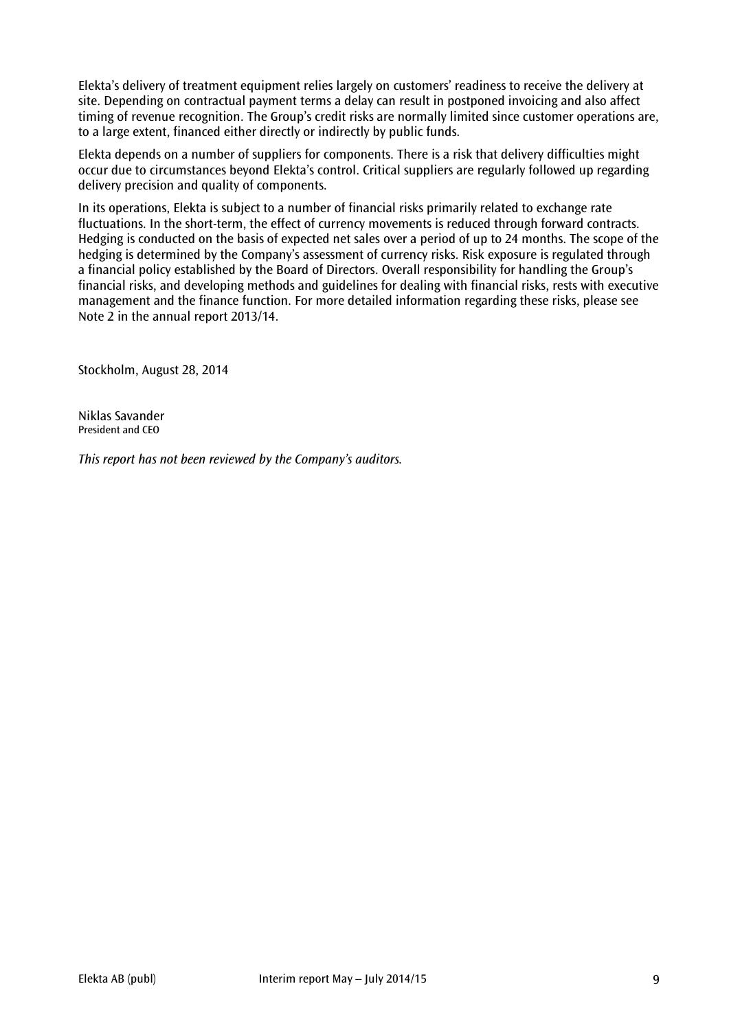Elekta's delivery of treatment equipment relies largely on customers' readiness to receive the delivery at site. Depending on contractual payment terms a delay can result in postponed invoicing and also affect timing of revenue recognition. The Group's credit risks are normally limited since customer operations are, to a large extent, financed either directly or indirectly by public funds.

Elekta depends on a number of suppliers for components. There is a risk that delivery difficulties might occur due to circumstances beyond Elekta's control. Critical suppliers are regularly followed up regarding delivery precision and quality of components.

In its operations, Elekta is subject to a number of financial risks primarily related to exchange rate fluctuations. In the short-term, the effect of currency movements is reduced through forward contracts. Hedging is conducted on the basis of expected net sales over a period of up to 24 months. The scope of the hedging is determined by the Company's assessment of currency risks. Risk exposure is regulated through a financial policy established by the Board of Directors. Overall responsibility for handling the Group's financial risks, and developing methods and guidelines for dealing with financial risks, rests with executive management and the finance function. For more detailed information regarding these risks, please see Note 2 in the annual report 2013/14.

Stockholm, August 28, 2014

Niklas Savander President and CEO

*This report has not been reviewed by the Company's auditors.*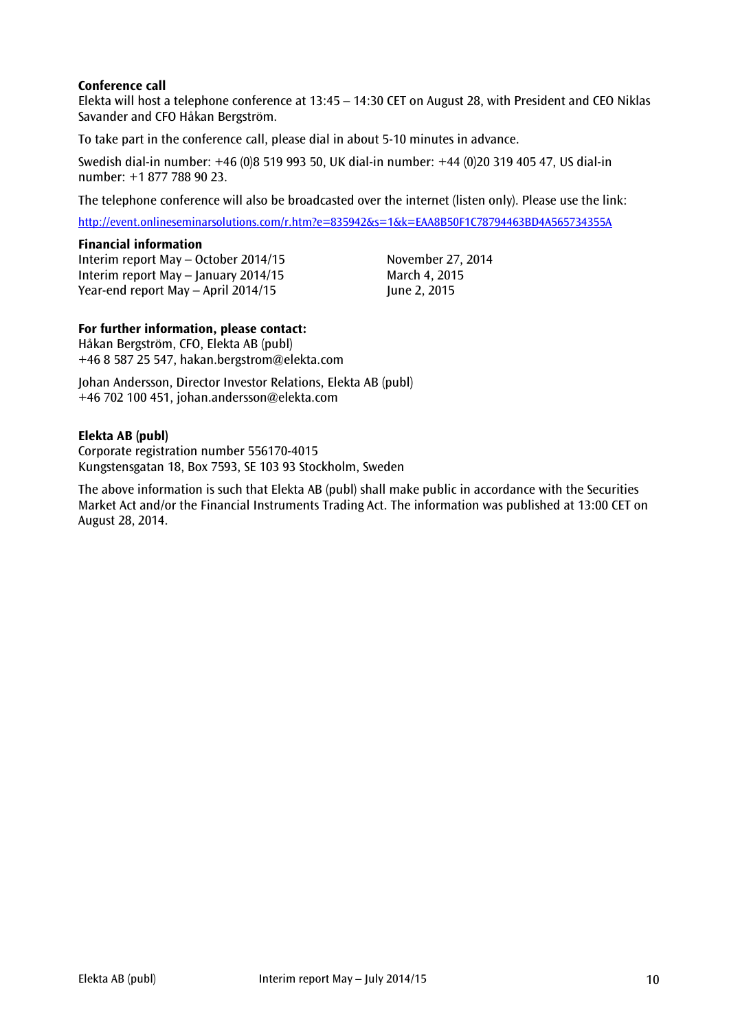#### **Conference call**

Elekta will host a telephone conference at 13:45 – 14:30 CET on August 28, with President and CEO Niklas Savander and CFO Håkan Bergström.

To take part in the conference call, please dial in about 5-10 minutes in advance.

Swedish dial-in number: +46 (0)8 519 993 50, UK dial-in number: +44 (0)20 319 405 47, US dial-in number: +1 877 788 90 23.

The telephone conference will also be broadcasted over the internet (listen only). Please use the link:

<http://event.onlineseminarsolutions.com/r.htm?e=835942&s=1&k=EAA8B50F1C78794463BD4A565734355A>

#### **Financial information**

Interim report May – October 2014/15 November 27, 2014 Interim report May – January 2014/15 March 4, 2015 Year-end report May  $-$  April 2014/15  $\mu$  and  $\mu$  and  $\mu$  and  $\mu$  and  $\mu$  and  $\mu$ 

#### **For further information, please contact:**

Håkan Bergström, CFO, Elekta AB (publ) +46 8 587 25 547, hakan.bergstrom@elekta.com

Johan Andersson, Director Investor Relations, Elekta AB (publ) +46 702 100 451, [johan.andersson@elekta.com](mailto:johan.anderssonmelbi@elekta.com)

#### **Elekta AB (publ)**

Corporate registration number 556170-4015 Kungstensgatan 18, Box 7593, SE 103 93 Stockholm, Sweden

The above information is such that Elekta AB (publ) shall make public in accordance with the Securities Market Act and/or the Financial Instruments Trading Act. The information was published at 13:00 CET on August 28, 2014.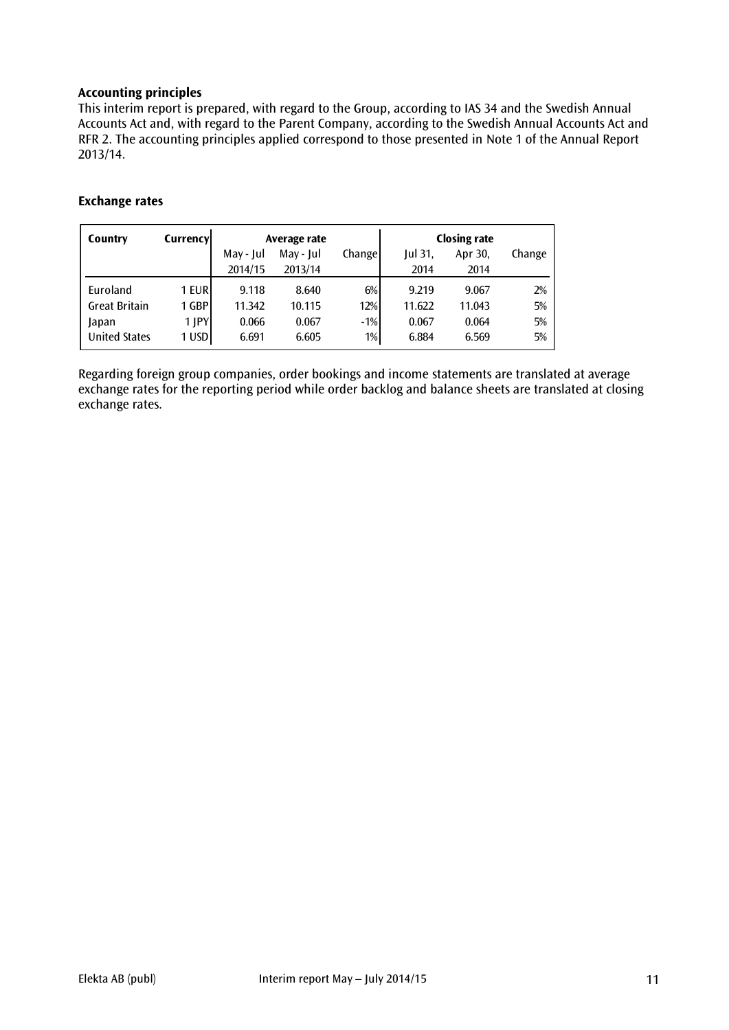#### **Accounting principles**

This interim report is prepared, with regard to the Group, according to IAS 34 and the Swedish Annual Accounts Act and, with regard to the Parent Company, according to the Swedish Annual Accounts Act and RFR 2. The accounting principles applied correspond to those presented in Note 1 of the Annual Report 2013/14.

| Country              | Currencyl |           | Average rate |        |           | <b>Closing rate</b> |        |
|----------------------|-----------|-----------|--------------|--------|-----------|---------------------|--------|
|                      |           | May - Jul | May - Jul    | Change | $ ul$ 31, | Apr 30,             | Change |
|                      |           | 2014/15   | 2013/14      |        | 2014      | 2014                |        |
| Euroland             | 1 EUR     | 9.118     | 8.640        | $6\%$  | 9.219     | 9.067               | 2%     |
| <b>Great Britain</b> | 1 GBP     | 11.342    | 10.115       | 12%    | 11.622    | 11.043              | 5%     |
| Japan                | 1 JPY     | 0.066     | 0.067        | $-1%$  | 0.067     | 0.064               | 5%     |
| <b>United States</b> | 1 USD     | 6.691     | 6.605        | $1\%$  | 6.884     | 6.569               | 5%     |

#### **Exchange rates**

Regarding foreign group companies, order bookings and income statements are translated at average exchange rates for the reporting period while order backlog and balance sheets are translated at closing exchange rates.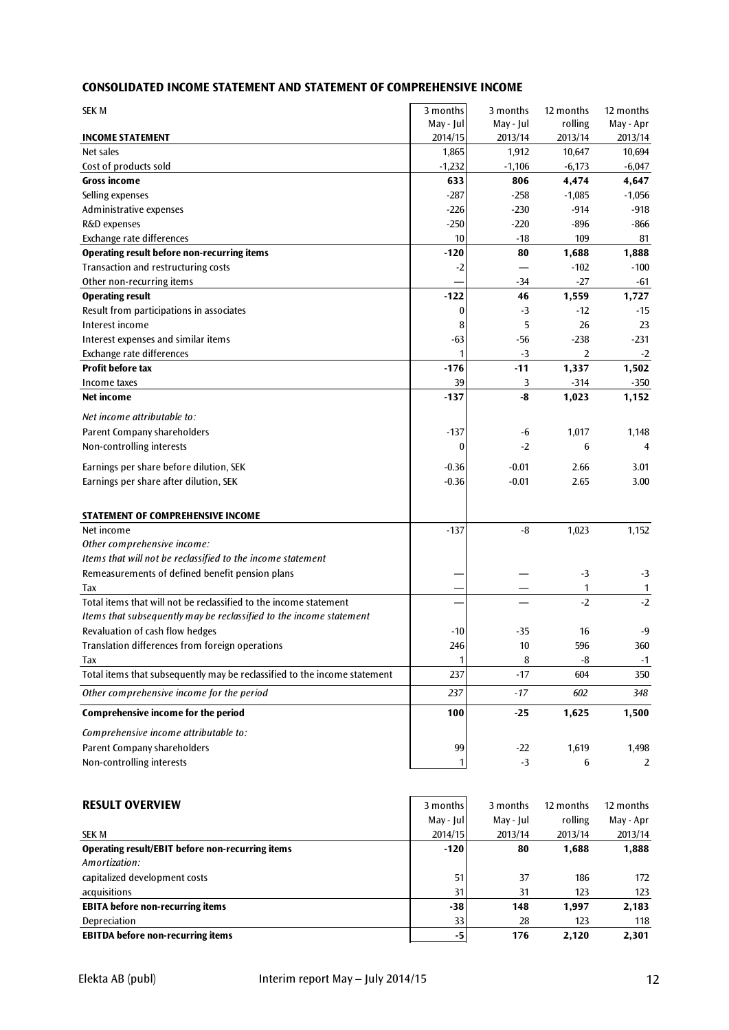#### **CONSOLIDATED INCOME STATEMENT AND STATEMENT OF COMPREHENSIVE INCOME**

| <b>SEK M</b>                                                              | 3 months        | 3 months      | 12 months        | 12 months        |
|---------------------------------------------------------------------------|-----------------|---------------|------------------|------------------|
|                                                                           | May - Jul       | May - Jul     | rolling          | May - Apr        |
| <b>INCOME STATEMENT</b>                                                   | 2014/15         | 2013/14       | 2013/14          | 2013/14          |
| Net sales                                                                 | 1,865           | 1,912         | 10,647           | 10,694           |
| Cost of products sold                                                     | $-1,232$        | $-1,106$      | $-6,173$         | $-6,047$         |
| Gross income                                                              | 633             | 806           | 4,474            | 4,647            |
| Selling expenses                                                          | $-287$          | $-258$        | $-1,085$         | $-1,056$         |
| Administrative expenses                                                   | $-226$          | $-230$        | $-914$           | $-918$           |
| R&D expenses                                                              | $-250$          | $-220$        | $-896$           | -866             |
| Exchange rate differences                                                 | 10              | $-18$         | 109              | 81               |
| <b>Operating result before non-recurring items</b>                        | -120            | 80            | 1,688            | 1,888            |
| Transaction and restructuring costs                                       | $-2$            |               | $-102$<br>$-27$  | $-100$           |
| Other non-recurring items                                                 | $-122$          | -34           |                  | $-61$            |
| <b>Operating result</b><br>Result from participations in associates       | $\bf{0}$        | 46<br>-3      | 1,559<br>$-12$   | 1,727<br>$-15$   |
| Interest income                                                           |                 | 5             | 26               | 23               |
|                                                                           | 8               |               | $-238$           | $-231$           |
| Interest expenses and similar items<br>Exchange rate differences          | $-63$<br>1      | $-56$<br>$-3$ | $\overline{2}$   |                  |
| <b>Profit before tax</b>                                                  | $-176$          | $-11$         |                  | $-2$             |
| Income taxes                                                              | 39              | 3             | 1,337<br>$-314$  | 1,502<br>$-350$  |
| Net income                                                                | $-137$          | -8            | 1,023            | 1,152            |
|                                                                           |                 |               |                  |                  |
| Net income attributable to:                                               |                 |               |                  |                  |
| Parent Company shareholders                                               | -137            | -6            | 1,017            | 1,148            |
| Non-controlling interests                                                 | $\bf{0}$        | $-2$          | 6                | $\overline{4}$   |
| Earnings per share before dilution, SEK                                   | -0.36           | $-0.01$       | 2.66             | 3.01             |
| Earnings per share after dilution, SEK                                    | $-0.36$         | $-0.01$       | 2.65             | 3.00             |
|                                                                           |                 |               |                  |                  |
| STATEMENT OF COMPREHENSIVE INCOME                                         |                 |               |                  |                  |
| Net income                                                                | -137            | -8            | 1,023            | 1,152            |
| Other comprehensive income:                                               |                 |               |                  |                  |
| Items that will not be reclassified to the income statement               |                 |               |                  |                  |
| Remeasurements of defined benefit pension plans                           |                 |               | $-3$             | $-3$             |
| Tax                                                                       |                 |               | 1                | 1                |
| Total items that will not be reclassified to the income statement         |                 |               | $-2$             | $-2$             |
| Items that subsequently may be reclassified to the income statement       |                 |               |                  |                  |
| Revaluation of cash flow hedges                                           | $-10$           | $-35$         | 16               | $-9$             |
| Translation differences from foreign operations                           | 246             | 10            | 596              | 360              |
| Tax                                                                       | 1               | 8             | -8               | $-1$             |
| Total items that subsequently may be reclassified to the income statement | 237             | $-17$         | 604              | 350              |
| Other comprehensive income for the period                                 | 237             | $-17$         | 602              | 348              |
|                                                                           |                 |               |                  |                  |
| Comprehensive income for the period                                       | 100             | $-25$         | 1,625            | 1,500            |
| Comprehensive income attributable to:                                     |                 |               |                  |                  |
| Parent Company shareholders                                               | 99              | $-22$         | 1,619            | 1,498            |
| Non-controlling interests                                                 | 1               | $-3$          | 6                | $\overline{2}$   |
|                                                                           |                 |               |                  |                  |
|                                                                           |                 |               |                  |                  |
| <b>RESULT OVERVIEW</b>                                                    | 3 months        | 3 months      | 12 months        | 12 months        |
|                                                                           | May - Jul       | May - Jul     | rolling          | May - Apr        |
| <b>SEK M</b><br><b>Operating result/EBIT before non-recurring items</b>   | 2014/15<br>-120 | 2013/14<br>80 | 2013/14<br>1,688 | 2013/14<br>1,888 |
| Amortization:                                                             |                 |               |                  |                  |
| capitalized development costs                                             | 51              | 37            | 186              | 172              |
| acquisitions                                                              | 31              | 31            | 123              | 123              |
| <b>EBITA before non-recurring items</b>                                   | $-38$           | 148           | 1,997            | 2,183            |
| Depreciation                                                              | 33              | 28            | 123              | 118              |
| <b>EBITDA before non-recurring items</b>                                  | $-5\phantom{1}$ | 176           | 2,120            | 2,301            |
|                                                                           |                 |               |                  |                  |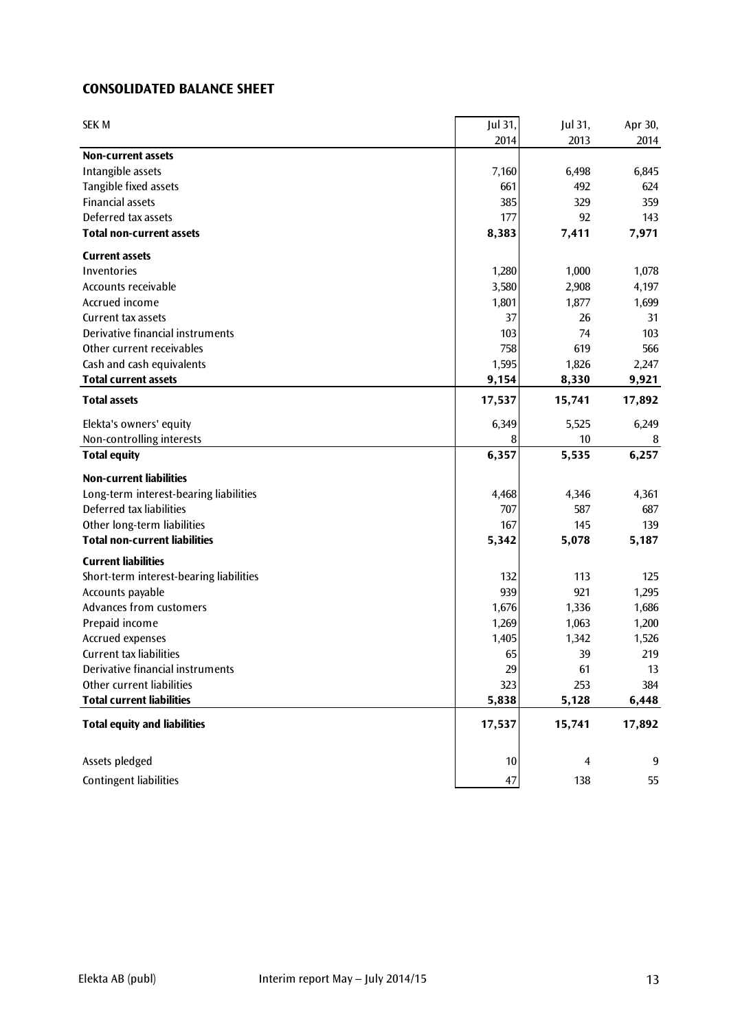#### **CONSOLIDATED BALANCE SHEET**

| <b>SEK M</b>                            | Jul 31, | Jul 31,        | Apr 30, |
|-----------------------------------------|---------|----------------|---------|
|                                         | 2014    | 2013           | 2014    |
| <b>Non-current assets</b>               |         |                |         |
| Intangible assets                       | 7,160   | 6,498          | 6,845   |
| Tangible fixed assets                   | 661     | 492            | 624     |
| <b>Financial assets</b>                 | 385     | 329            | 359     |
| Deferred tax assets                     | 177     | 92             | 143     |
| <b>Total non-current assets</b>         | 8,383   | 7,411          | 7,971   |
| <b>Current assets</b>                   |         |                |         |
| Inventories                             | 1,280   | 1,000          | 1,078   |
| Accounts receivable                     | 3,580   | 2,908          | 4,197   |
| Accrued income                          | 1,801   | 1,877          | 1,699   |
| Current tax assets                      | 37      | 26             | 31      |
| Derivative financial instruments        | 103     | 74             | 103     |
| Other current receivables               | 758     | 619            | 566     |
| Cash and cash equivalents               | 1,595   | 1,826          | 2,247   |
| <b>Total current assets</b>             | 9,154   | 8,330          | 9,921   |
| <b>Total assets</b>                     | 17,537  | 15,741         | 17,892  |
| Elekta's owners' equity                 | 6,349   | 5,525          | 6,249   |
| Non-controlling interests               | 8       | 10             | 8       |
| <b>Total equity</b>                     | 6,357   | 5,535          | 6,257   |
| <b>Non-current liabilities</b>          |         |                |         |
| Long-term interest-bearing liabilities  | 4,468   | 4,346          | 4,361   |
| Deferred tax liabilities                | 707     | 587            | 687     |
| Other long-term liabilities             | 167     | 145            | 139     |
| <b>Total non-current liabilities</b>    | 5,342   | 5,078          | 5,187   |
| <b>Current liabilities</b>              |         |                |         |
| Short-term interest-bearing liabilities | 132     | 113            | 125     |
| Accounts payable                        | 939     | 921            | 1,295   |
| Advances from customers                 | 1,676   | 1,336          | 1,686   |
| Prepaid income                          | 1,269   | 1,063          | 1,200   |
| Accrued expenses                        | 1,405   | 1,342          | 1,526   |
| <b>Current tax liabilities</b>          | 65      | 39             | 219     |
| Derivative financial instruments        | 29      | 61             | 13      |
| Other current liabilities               | 323     | 253            | 384     |
| <b>Total current liabilities</b>        | 5,838   | 5,128          | 6,448   |
| <b>Total equity and liabilities</b>     | 17,537  | 15,741         | 17,892  |
| Assets pledged                          | 10      | $\overline{4}$ | 9       |
|                                         |         |                |         |
| <b>Contingent liabilities</b>           | 47      | 138            | 55      |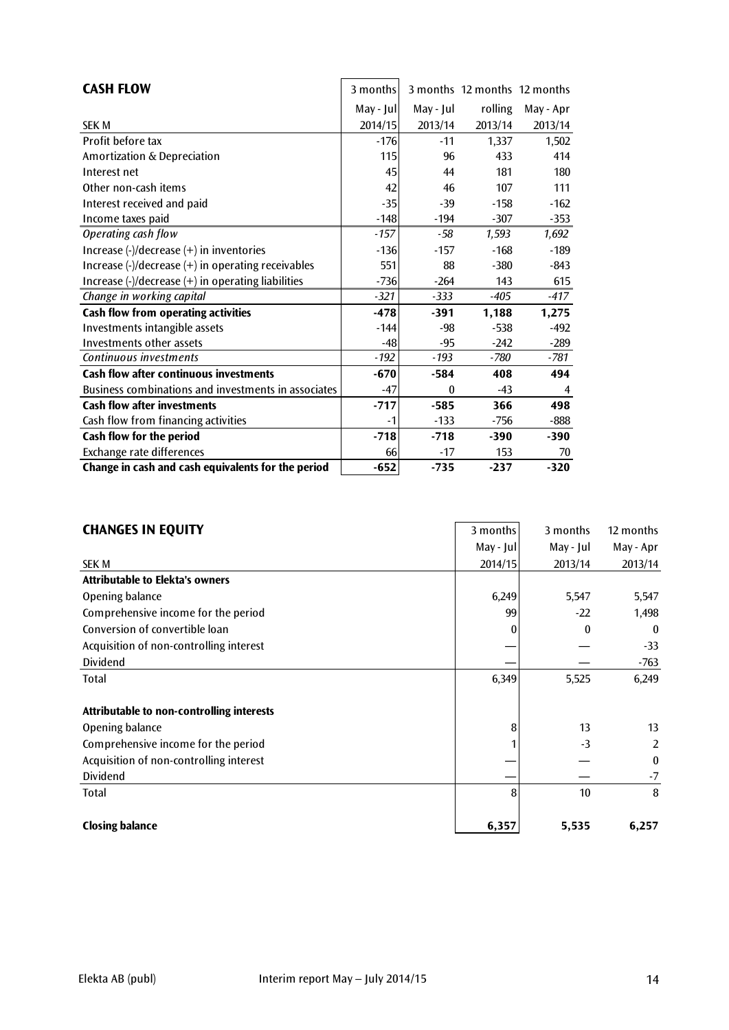| <b>CASH FLOW</b>                                                                                 | 3 months   |                  | 3 months 12 months 12 months |           |
|--------------------------------------------------------------------------------------------------|------------|------------------|------------------------------|-----------|
|                                                                                                  | May - Jull | May - Jul        | rolling                      | May - Apr |
| <b>SEK M</b>                                                                                     | 2014/15    | 2013/14          | 2013/14                      | 2013/14   |
| Profit before tax                                                                                | $-176$     | $-11$            | 1,337                        | 1,502     |
| Amortization & Depreciation                                                                      | 115        | 96               | 433                          | 414       |
| Interest net                                                                                     | 45         | 44               | 181                          | 180       |
| Other non-cash items                                                                             | 42         | 46               | 107                          | 111       |
| Interest received and paid                                                                       | $-35$      | $-39$            | $-158$                       | $-162$    |
| Income taxes paid                                                                                | $-148$     | $-194$           | $-307$                       | $-353$    |
| Operating cash flow                                                                              | $-157$     | $-58$            | 1,593                        | 1,692     |
| Increase $\left(\frac{1}{2}\right)$ decrease $\left(\frac{1}{2}\right)$ in inventories           | $-136$     | $-157$           | $-168$                       | $-189$    |
| Increase $\left(\frac{1}{2}\right)$ decrease $\left(\frac{1}{2}\right)$ in operating receivables | 551        | 88               | $-380$                       | -843      |
| Increase $\left(\frac{1}{2}\right)$ decrease $\left(\frac{1}{2}\right)$ in operating liabilities | $-736$     | $-264$           | 143                          | 615       |
| Change in working capital                                                                        | $-321$     | $-333$           | $-405$                       | -417      |
| Cash flow from operating activities                                                              | $-478$     | $-391$           | 1,188                        | 1,275     |
| Investments intangible assets                                                                    | $-144$     | $-98$            | $-538$                       | $-492$    |
| Investments other assets                                                                         | $-48$      | $-95$            | $-242$                       | $-289$    |
| Continuous investments                                                                           | $-192$     | $-193$           | -780                         | -781      |
| <b>Cash flow after continuous investments</b>                                                    | $-670$     | $-584$           | 408                          | 494       |
| Business combinations and investments in associates                                              | $-47$      | $\boldsymbol{0}$ | $-43$                        | 4         |
| <b>Cash flow after investments</b>                                                               | $-717$     | $-585$           | 366                          | 498       |
| Cash flow from financing activities                                                              | $-1$       | $-133$           | $-756$                       | -888      |
| Cash flow for the period                                                                         | $-718$     | $-718$           | $-390$                       | $-390$    |
| Exchange rate differences                                                                        | 66         | $-17$            | 153                          | 70        |
| Change in cash and cash equivalents for the period                                               | $-652$     | $-735$           | $-237$                       | $-320$    |

 $\overline{\phantom{a}}$ 

| <b>CHANGES IN EQUITY</b>                         | 3 months  | 3 months  | 12 months        |
|--------------------------------------------------|-----------|-----------|------------------|
|                                                  | May - Jul | May - Jul | May - Apr        |
| <b>SEK M</b>                                     | 2014/15   | 2013/14   | 2013/14          |
| <b>Attributable to Elekta's owners</b>           |           |           |                  |
| Opening balance                                  | 6,249     | 5,547     | 5,547            |
| Comprehensive income for the period              | 99        | $-22$     | 1,498            |
| Conversion of convertible loan                   |           | 0         | $\boldsymbol{0}$ |
| Acquisition of non-controlling interest          |           |           | $-33$            |
| Dividend                                         |           |           | $-763$           |
| Total                                            | 6,349     | 5,525     | 6,249            |
| <b>Attributable to non-controlling interests</b> |           |           |                  |
| Opening balance                                  | 8         | 13        | 13               |
| Comprehensive income for the period              |           | $-3$      | 2                |
| Acquisition of non-controlling interest          |           |           | $\bf{0}$         |
| Dividend                                         |           |           | -7               |
| Total                                            | 8         | 10        | 8                |
| <b>Closing balance</b>                           | 6,357     | 5,535     | 6,257            |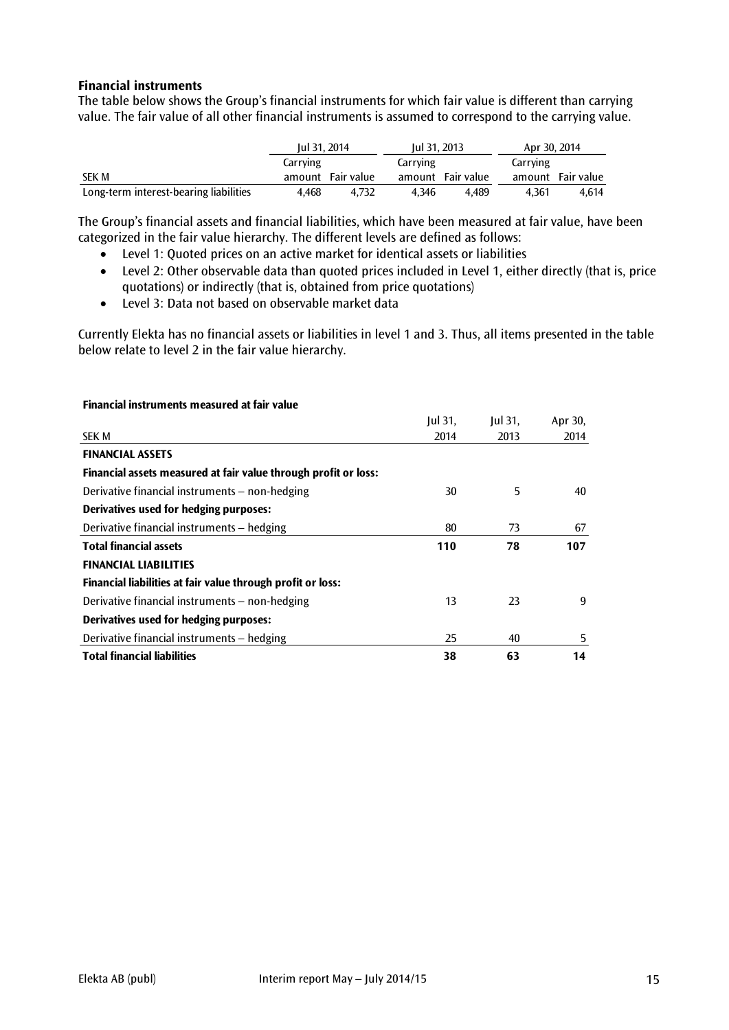#### **Financial instruments**

The table below shows the Group's financial instruments for which fair value is different than carrying value. The fair value of all other financial instruments is assumed to correspond to the carrying value.

|                                        | Jul 31, 2014 |                   | Jul 31, 2013 |                   | Apr 30, 2014 |                   |
|----------------------------------------|--------------|-------------------|--------------|-------------------|--------------|-------------------|
|                                        | Carrying     |                   | Carrying     |                   | Carrying     |                   |
| <b>SEK M</b>                           |              | amount Fair value |              | amount Fair value |              | amount Fair value |
| Long-term interest-bearing liabilities | 4.468        | 4.732             | 4.346        | 4.489             | 4.361        | 4.614             |

The Group's financial assets and financial liabilities, which have been measured at fair value, have been categorized in the fair value hierarchy. The different levels are defined as follows:

- Level 1: Quoted prices on an active market for identical assets or liabilities
- Level 2: Other observable data than quoted prices included in Level 1, either directly (that is, price quotations) or indirectly (that is, obtained from price quotations)
- Level 3: Data not based on observable market data

Currently Elekta has no financial assets or liabilities in level 1 and 3. Thus, all items presented in the table below relate to level 2 in the fair value hierarchy.

| Financial instruments measured at fair value                    |           |           |         |
|-----------------------------------------------------------------|-----------|-----------|---------|
|                                                                 | $ ul$ 31, | $ ul$ 31, | Apr 30, |
| <b>SEK M</b>                                                    | 2014      | 2013      | 2014    |
| <b>FINANCIAL ASSETS</b>                                         |           |           |         |
| Financial assets measured at fair value through profit or loss: |           |           |         |
| Derivative financial instruments - non-hedging                  | 30        | 5         | 40      |
| Derivatives used for hedging purposes:                          |           |           |         |
| Derivative financial instruments – hedging                      | 80        | 73        | 67      |
| <b>Total financial assets</b>                                   | 110       | 78        | 107     |
| <b>FINANCIAL LIABILITIES</b>                                    |           |           |         |
| Financial liabilities at fair value through profit or loss:     |           |           |         |
| Derivative financial instruments – non-hedging                  | 13        | 23        | 9       |
| Derivatives used for hedging purposes:                          |           |           |         |
| Derivative financial instruments - hedging                      | 25        | 40        | 5       |
| <b>Total financial liabilities</b>                              | 38        | 63        | 14      |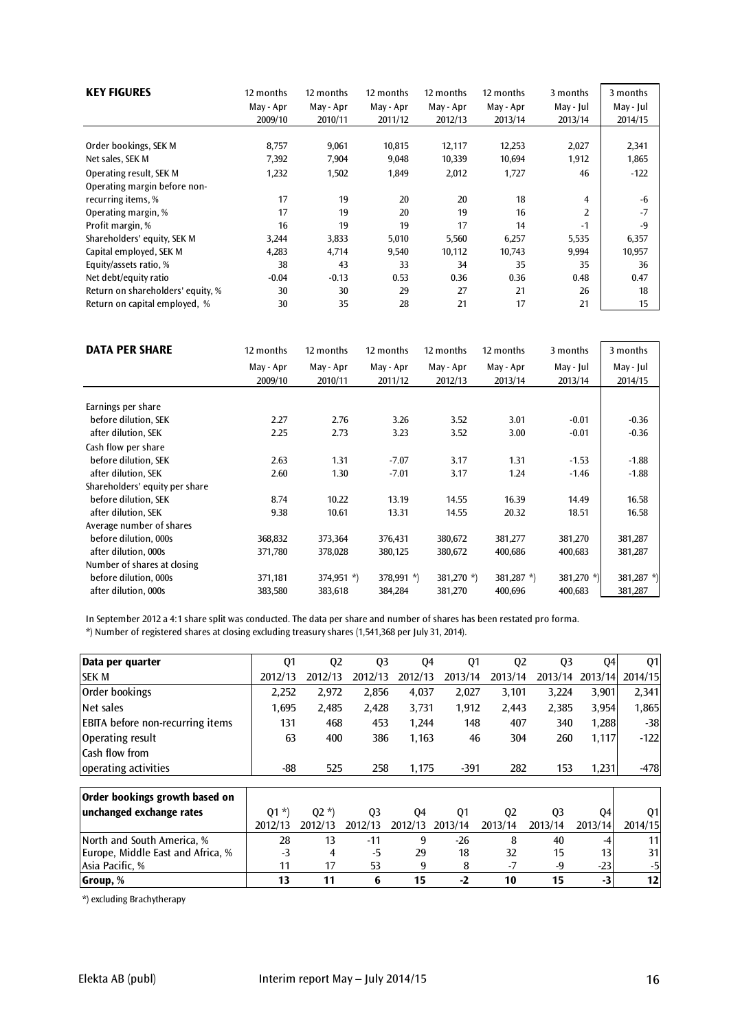| <b>KEY FIGURES</b>                                      | 12 months | 12 months | 12 months | 12 months | 12 months | 3 months       | 3 months  |
|---------------------------------------------------------|-----------|-----------|-----------|-----------|-----------|----------------|-----------|
|                                                         | May - Apr | May - Apr | May - Apr | May - Apr | May - Apr | May - Jul      | May - Jul |
|                                                         | 2009/10   | 2010/11   | 2011/12   | 2012/13   | 2013/14   | 2013/14        | 2014/15   |
| Order bookings, SEK M                                   | 8,757     | 9,061     | 10,815    | 12,117    | 12,253    | 2,027          | 2,341     |
| Net sales, SEK M                                        | 7,392     | 7,904     | 9,048     | 10,339    | 10,694    | 1,912          | 1,865     |
| Operating result, SEK M<br>Operating margin before non- | 1,232     | 1,502     | 1,849     | 2,012     | 1,727     | 46             | $-122$    |
| recurring items, %                                      | 17        | 19        | 20        | 20        | 18        | $\overline{4}$ | -6        |
| Operating margin, %                                     | 17        | 19        | 20        | 19        | 16        | $\overline{2}$ | $-7$      |
| Profit margin, %                                        | 16        | 19        | 19        | 17        | 14        | $-1$           | $-9$      |
| Shareholders' equity, SEK M                             | 3,244     | 3,833     | 5,010     | 5,560     | 6,257     | 5,535          | 6,357     |
| Capital employed, SEK M                                 | 4,283     | 4,714     | 9,540     | 10,112    | 10,743    | 9,994          | 10,957    |
| Equity/assets ratio, %                                  | 38        | 43        | 33        | 34        | 35        | 35             | 36        |
| Net debt/equity ratio                                   | $-0.04$   | $-0.13$   | 0.53      | 0.36      | 0.36      | 0.48           | 0.47      |
| Return on shareholders' equity, %                       | 30        | 30        | 29        | 27        | 21        | 26             | 18        |
| Return on capital employed, %                           | 30        | 35        | 28        | 21        | 17        | 21             | 15        |

| <b>DATA PER SHARE</b>          | 12 months | 12 months    | 12 months    | 12 months     | 12 months     | 3 months   | 3 months   |
|--------------------------------|-----------|--------------|--------------|---------------|---------------|------------|------------|
|                                | May - Apr | May - Apr    | May - Apr    | May - Apr     | May - Apr     | May - Jul  | May - Jul  |
|                                | 2009/10   | 2010/11      | 2011/12      | 2012/13       | 2013/14       | 2013/14    | 2014/15    |
| Earnings per share             |           |              |              |               |               |            |            |
| before dilution, SEK           | 2.27      | 2.76         | 3.26         | 3.52          | 3.01          | $-0.01$    | $-0.36$    |
| after dilution, SEK            | 2.25      | 2.73         | 3.23         | 3.52          | 3.00          | $-0.01$    | $-0.36$    |
| Cash flow per share            |           |              |              |               |               |            |            |
| before dilution, SEK           | 2.63      | 1.31         | $-7.07$      | 3.17          | 1.31          | $-1.53$    | $-1.88$    |
| after dilution, SEK            | 2.60      | 1.30         | $-7.01$      | 3.17          | 1.24          | $-1.46$    | $-1.88$    |
| Shareholders' equity per share |           |              |              |               |               |            |            |
| before dilution, SEK           | 8.74      | 10.22        | 13.19        | 14.55         | 16.39         | 14.49      | 16.58      |
| after dilution, SEK            | 9.38      | 10.61        | 13.31        | 14.55         | 20.32         | 18.51      | 16.58      |
| Average number of shares       |           |              |              |               |               |            |            |
| before dilution, 000s          | 368,832   | 373,364      | 376,431      | 380,672       | 381,277       | 381,270    | 381,287    |
| after dilution, 000s           | 371,780   | 378,028      | 380,125      | 380,672       | 400,686       | 400,683    | 381,287    |
| Number of shares at closing    |           |              |              |               |               |            |            |
| before dilution, 000s          | 371,181   | $374,951$ *) | $378,991$ *) | 381,270 $*$ ) | 381,287 $*$ ) | 381,270 *) | 381,287 *) |
| after dilution, 000s           | 383,580   | 383,618      | 384,284      | 381,270       | 400,696       | 400,683    | 381,287    |

In September 2012 a 4:1 share split was conducted. The data per share and number of shares has been restated pro forma.

\*) Number of registered shares at closing excluding treasury shares (1,541,368 per July 31, 2014).

| Data per quarter                        | Q <sub>1</sub> | Q <sub>2</sub> | Q <sub>3</sub> | Q4      | Q <sub>1</sub> | Q <sub>2</sub> | Q <sub>3</sub> | Q4      | 01      |
|-----------------------------------------|----------------|----------------|----------------|---------|----------------|----------------|----------------|---------|---------|
| <b>SEK M</b>                            | 2012/13        | 2012/13        | 2012/13        | 2012/13 | 2013/14        | 2013/14        | 2013/14        | 2013/14 | 2014/15 |
| Order bookings                          | 2,252          | 2,972          | 2,856          | 4,037   | 2,027          | 3,101          | 3,224          | 3,901   | 2,341   |
| Net sales                               | 1,695          | 2,485          | 2,428          | 3,731   | 1,912          | 2,443          | 2,385          | 3,954   | 1,865   |
| <b>EBITA</b> before non-recurring items | 131            | 468            | 453            | 1.244   | 148            | 407            | 340            | 1,288   | $-38$   |
| Operating result                        | 63             | 400            | 386            | 1,163   | 46             | 304            | 260            | 1,117   | $-122$  |
| Cash flow from                          |                |                |                |         |                |                |                |         |         |
| operating activities                    | -88            | 525            | 258            | 1,175   | $-391$         | 282            | 153            | 1,231   | $-478$  |
|                                         |                |                |                |         |                |                |                |         |         |
| Order bookings growth based on          |                |                |                |         |                |                |                |         |         |
| unchanged exchange rates                | $Q1 *$         | $Q2 *$         | Q <sub>3</sub> | Q4      | Q1             | Q <sub>2</sub> | Q <sub>3</sub> | Q4      | Q1      |
|                                         | 2012/13        | 2012/13        | 2012/13        | 2012/13 | 2013/14        | 2013/14        | 2013/14        | 2013/14 | 2014/15 |
| North and South America, %              | 28             | 13             | $-11$          | 9       | $-26$          | 8              | 40             | -4      | 11      |
| Europe, Middle East and Africa, %       | $-3$           | 4              | $-5$           | 29      | 18             | 32             | 15             | 13      | 31      |
| Asia Pacific, %                         | 11             | 17             | 53             | 9       | 8              | $-7$           | -9             | $-23$   | -5      |
| Group, %                                | 13             | 11             | 6              | 15      | $-2$           | 10             | 15             | $-3$    | 12      |

\*) excluding Brachytherapy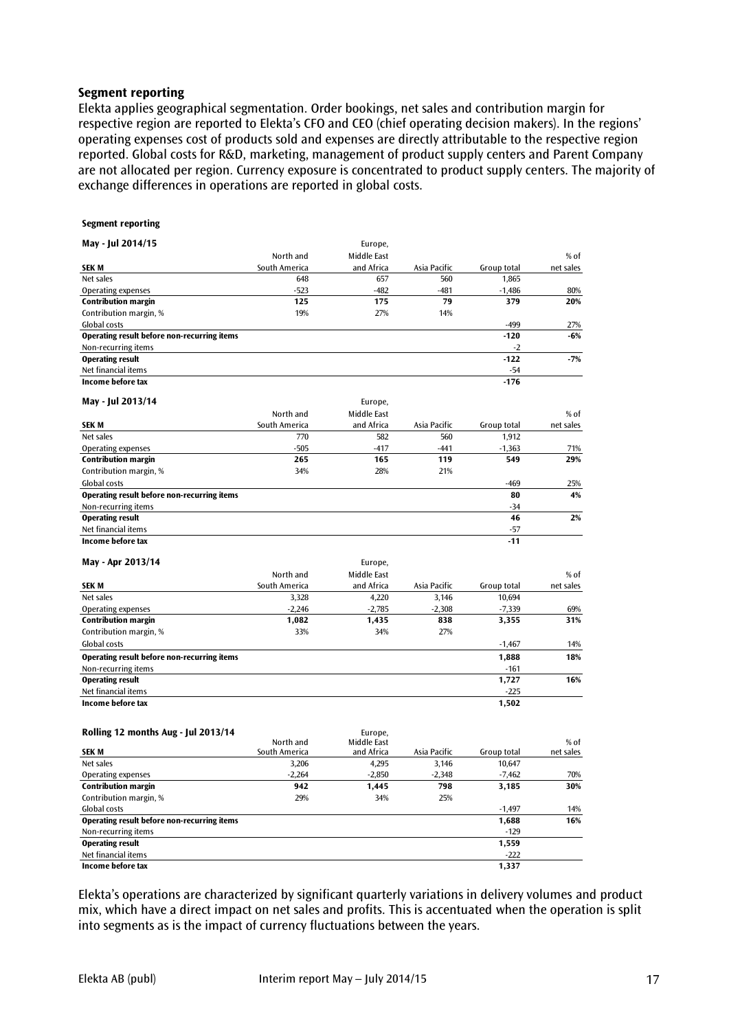#### **Segment reporting**

Elekta applies geographical segmentation. Order bookings, net sales and contribution margin for respective region are reported to Elekta's CFO and CEO (chief operating decision makers). In the regions' operating expenses cost of products sold and expenses are directly attributable to the respective region reported. Global costs for R&D, marketing, management of product supply centers and Parent Company are not allocated per region. Currency exposure is concentrated to product supply centers. The majority of exchange differences in operations are reported in global costs.

#### **Segment reporting**

| May - Jul 2014/15                                  |               | Europe,     |              |             |           |
|----------------------------------------------------|---------------|-------------|--------------|-------------|-----------|
|                                                    | North and     | Middle East |              |             | $%$ of    |
| <b>SEKM</b>                                        | South America | and Africa  | Asia Pacific | Group total | net sales |
| Net sales                                          | 648           | 657         | 560          | 1.865       |           |
| <b>Operating expenses</b>                          | $-523$        | $-482$      | $-481$       | $-1,486$    | 80%       |
| <b>Contribution margin</b>                         | 125           | 175         | 79           | 379         | 20%       |
| Contribution margin, %                             | 19%           | 27%         | 14%          |             |           |
| <b>Global costs</b>                                |               |             |              | $-499$      | 27%       |
| Operating result before non-recurring items        |               |             |              | $-120$      | $-6%$     |
| Non-recurring items                                |               |             |              | $-2$        |           |
| <b>Operating result</b>                            |               |             |              | $-122$      | $-7%$     |
| Net financial items                                |               |             |              | $-54$       |           |
| Income before tax                                  |               |             |              | $-176$      |           |
| May - Jul 2013/14                                  |               | Europe,     |              |             |           |
|                                                    | North and     | Middle East |              |             | % of      |
| <b>SEKM</b>                                        | South America | and Africa  | Asia Pacific | Group total | net sales |
| Net sales                                          | 770           | 582         | 560          | 1.912       |           |
| <b>Operating expenses</b>                          | $-505$        | $-417$      | $-441$       | $-1,363$    | 71%       |
| <b>Contribution margin</b>                         | 265           | 165         | 119          | 549         | 29%       |
| Contribution margin, %                             | 34%           | 28%         | 21%          |             |           |
| Global costs                                       |               |             |              | $-469$      | 25%       |
| <b>Operating result before non-recurring items</b> |               |             |              | 80          | 4%        |
| Non-recurring items                                |               |             |              | $-34$       |           |
| <b>Operating result</b>                            |               |             |              | 46          | 2%        |
| Net financial items                                |               |             |              | $-57$       |           |
| Income before tax                                  |               |             |              | $-11$       |           |
| May - Apr 2013/14                                  |               | Europe,     |              |             |           |
|                                                    | North and     | Middle East |              |             | % of      |
| <b>SEKM</b>                                        | South America | and Africa  | Asia Pacific | Group total | net sales |
| Net sales                                          | 3,328         | 4,220       | 3.146        | 10,694      |           |
| <b>Operating expenses</b>                          | $-2,246$      | $-2,785$    | $-2,308$     | $-7,339$    | 69%       |
| <b>Contribution margin</b>                         | 1,082         | 1,435       | 838          | 3,355       | 31%       |

| Contribution margin, %                      | 33% | 34% | 27% |          |     |
|---------------------------------------------|-----|-----|-----|----------|-----|
| Global costs                                |     |     |     | $-1.467$ | 14% |
| Operating result before non-recurring items |     |     |     | 1,888    | 18% |
| Non-recurring items                         |     |     |     | $-161$   |     |
| <b>Operating result</b>                     |     |     |     | 1.727    | 16% |
| Net financial items                         |     |     |     | $-225$   |     |
| Income before tax                           |     |     |     | 1,502    |     |

| Rolling 12 months Aug - Jul 2013/14         |                            | Europe.                   |              |             |                   |
|---------------------------------------------|----------------------------|---------------------------|--------------|-------------|-------------------|
| <b>SEKM</b>                                 | North and<br>South America | Middle East<br>and Africa | Asia Pacific | Group total | % of<br>net sales |
| Net sales                                   | 3,206                      | 4,295                     | 3.146        | 10.647      |                   |
| Operating expenses                          | $-2,264$                   | $-2,850$                  | $-2.348$     | $-7.462$    | 70%               |
| <b>Contribution margin</b>                  | 942                        | 1.445                     | 798          | 3.185       | 30%               |
| Contribution margin, %                      | 29%                        | 34%                       | 25%          |             |                   |
| Global costs                                |                            |                           |              | $-1.497$    | 14%               |
| Operating result before non-recurring items |                            |                           |              | 1,688       | 16%               |
| Non-recurring items                         |                            |                           |              | $-129$      |                   |
| <b>Operating result</b>                     |                            |                           |              | 1,559       |                   |
| Net financial items                         |                            |                           |              | $-222$      |                   |
| Income before tax                           |                            |                           |              | 1,337       |                   |

Elekta's operations are characterized by significant quarterly variations in delivery volumes and product mix, which have a direct impact on net sales and profits. This is accentuated when the operation is split into segments as is the impact of currency fluctuations between the years.